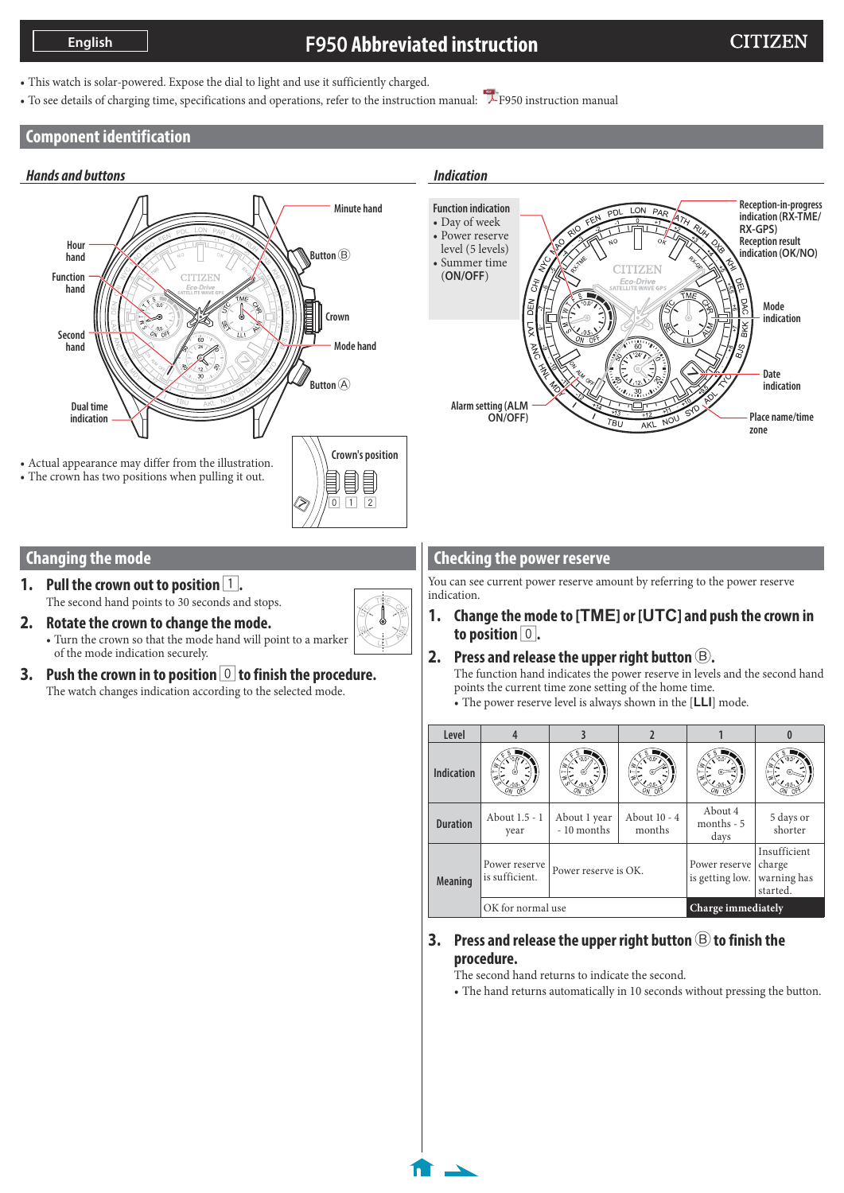# **F950 Abbreviated instruction**

- This watch is solar-powered. Expose the dial to light and use it sufficiently charged.
- To see details of charging time, specifications and operations, refer to the instruction manual: [F950 instruction manual](http://www.citizenwatch-global.com/support/pdf/f950/e.pdf)

#### **Component identification**



#### **Changing the mode**

- **1.** Pull the crown out to position  $\boxed{1}$ . The second hand points to 30 seconds and stops.
- **2. Rotate the crown to change the mode.** • Turn the crown so that the mode hand will point to a marker of the mode indication securely.
- **3. Push the crown in to position** 0 **to finish the procedure.** The watch changes indication according to the selected mode.

#### **Checking the power reserve**

You can see current power reserve amount by referring to the power reserve indication.

**1. Change the mode to [TME] or [UTC] and push the crown in to position** 0**.**

#### **2.** Press and release the upper right button  $\mathfrak{B}$ .

The function hand indicates the power reserve in levels and the second hand points the current time zone setting of the home time.

• The power reserve level is always shown in the [**LLI**] mode.

| Level             |                                 |                             |                        |                                  |                                                   |
|-------------------|---------------------------------|-----------------------------|------------------------|----------------------------------|---------------------------------------------------|
| <b>Indication</b> |                                 |                             |                        |                                  |                                                   |
| <b>Duration</b>   | About 1.5 - 1<br>year           | About 1 year<br>- 10 months | About 10 - 4<br>months | About 4<br>months $-5$<br>days   | 5 days or<br>shorter                              |
| <b>Meaning</b>    | Power reserve<br>is sufficient. | Power reserve is OK.        |                        | Power reserve<br>is getting low. | Insufficient<br>charge<br>warning has<br>started. |
|                   | OK for normal use               |                             | Charge immediately     |                                  |                                                   |

#### **3. Press and release the upper right button** B **to finish the procedure.**

The second hand returns to indicate the second.

• The hand returns automatically in 10 seconds without pressing the button.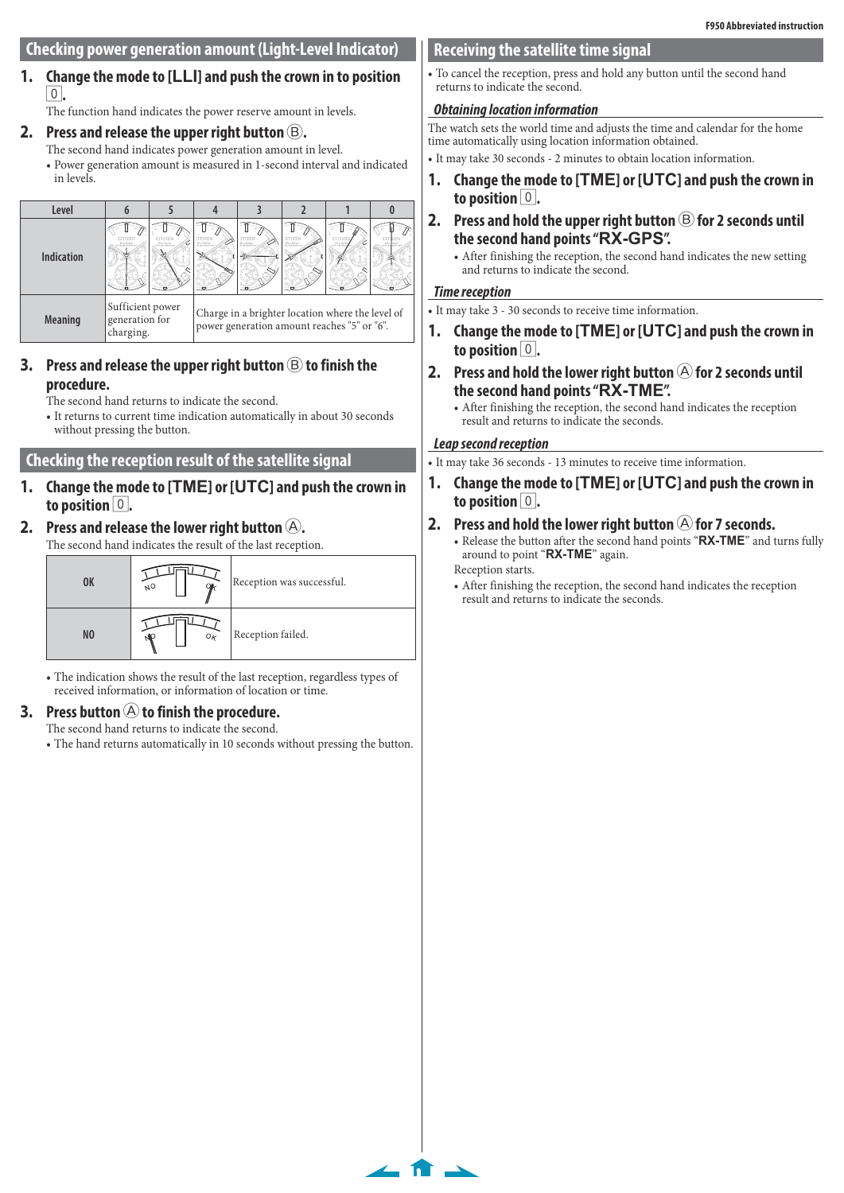# **Checking power generation amount (Light-Level Indicator)** 7 7 7 7

#### **1. Change the mode to [LLI] and push the crown in to position**  0**.**

The function hand indicates the power reserve amount in levels.

# 2. Press and release the upper right button  $\circledB$ .

- The second hand indicates power generation amount in level.
- Power generation amount is measured in 1-second interval and indicated in levels.



#### **3.** Press and release the upper right button  $\circledB$  to finish the **procedure.**

The second hand returns to indicate the second.

• It returns to current time indication automatically in about 30 seconds without pressing the button.

# **Checking the reception result of the satellite signal**

7 7 7 **1. Change the mode to [TME] or [UTC] and push the crown in to position** 0**.**

# **2.** Press and release the lower right button  $(A)$ .

The second hand indicates the result of the last reception.

| 0K             | ΝО      | Reception was successful. |
|----------------|---------|---------------------------|
| N <sub>0</sub> | $O_{K}$ | Reception failed.         |

• The indication shows the result of the last reception, regardless types of received information, or information of location or time.

# **3.** Press button (A) to finish the procedure.

The second hand returns to indicate the second.

• The hand returns automatically in 10 seconds without pressing the button.

# **Receiving the satellite time signal**

• To cancel the reception, press and hold any button until the second hand returns to indicate the second.

# **Obtaining location information**

The watch sets the world time and adjusts the time and calendar for the home time automatically using location information obtained.

• It may take 30 seconds - 2 minutes to obtain location information.

- **1. Change the mode to [TME] or [UTC] and push the crown in to position** 0**.**
- **2.** Press and hold the upper right button  $\circledB$  for 2 seconds until **the second hand points "RX-GPS".**

• After finishing the reception, the second hand indicates the new setting and returns to indicate the second.

#### **Time reception**

• It may take 3 - 30 seconds to receive time information.

- **1. Change the mode to [TME] or [UTC] and push the crown in**  to position  $|0|$ .
- **2.** Press and hold the lower right button  $\bigcirc$  for 2 seconds until **the second hand points "RX-TME".**
	- After finishing the reception, the second hand indicates the reception result and returns to indicate the seconds.

#### **Leap second reception**

- It may take 36 seconds 13 minutes to receive time information.
- **1. Change the mode to [TME] or [UTC] and push the crown in to position** 0**.**
- **2.** Press and hold the lower right button  $\bigcirc$  for 7 seconds. • Release the button after the second hand points "**RX-TME**" and turns fully around to point "**RX-TME**" again.

Reception starts.

 $\leftarrow$  fr  $\rightarrow$ 

• After finishing the reception, the second hand indicates the reception result and returns to indicate the seconds.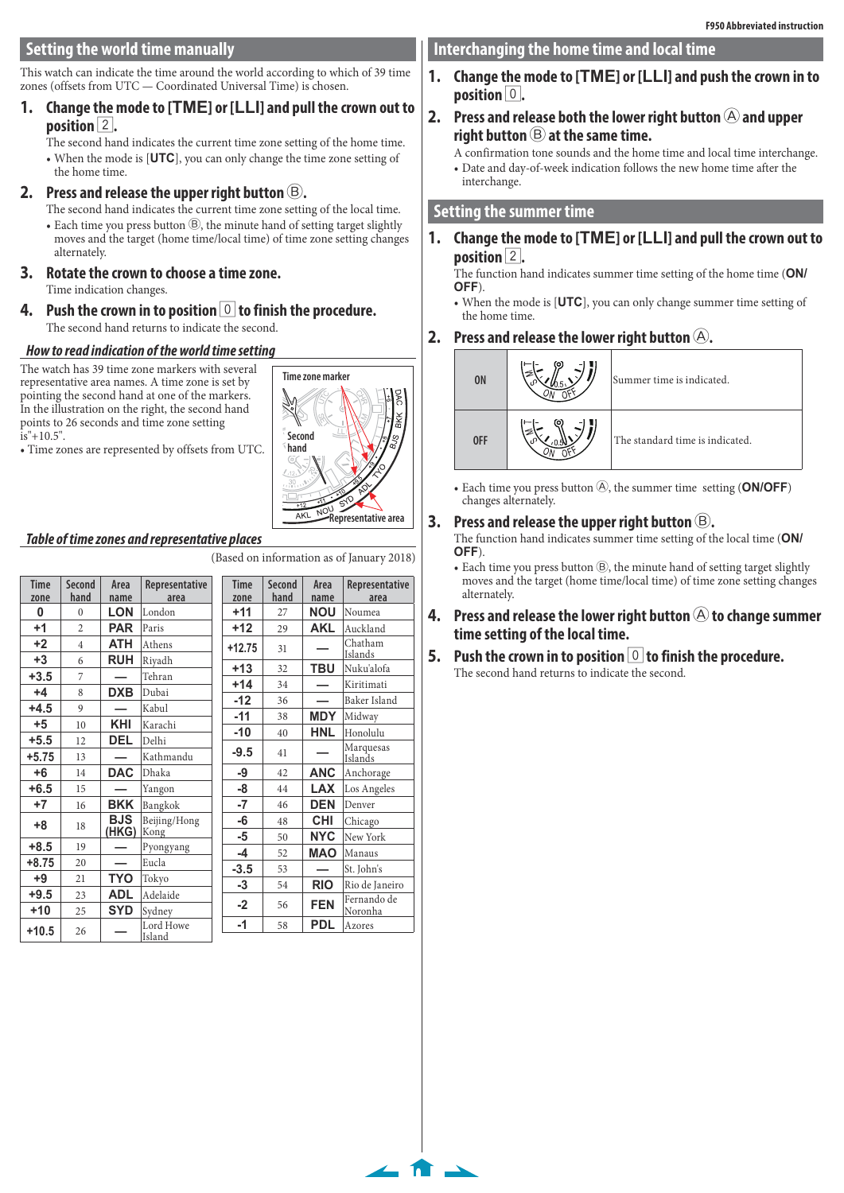This watch can indicate the time around the world according to which of 39 time zones (offsets from UTC — Coordinated Universal Time) is chosen.

#### **1. Change the mode to [TME] or [LLI] and pull the crown out to position** 2**.**

The second hand indicates the current time zone setting of the home time. • When the mode is [**UTC**], you can only change the time zone setting of the home time.

# **2.** Press and release the upper right button  $\circledB$ .

The second hand indicates the current time zone setting of the local time. • Each time you press button  $\circledB$ , the minute hand of setting target slightly moves and the target (home time/local time) of time zone setting changes alternately.

### **3. Rotate the crown to choose a time zone.**

- Time indication changes.
- **4.** Push the crown in to position **0** to finish the procedure. The second hand returns to indicate the second.

# **How to read indication of the world time setting**

The watch has 39 time zone markers with several representative area names. A time zone is set by pointing the second hand at one of the markers. In the illustration on the right, the second hand points to 26 seconds and time zone setting  $is''+10.5$ ".

• Time zones are represented by offsets from UTC.



 $\leftarrow$  n  $\rightarrow$ 

#### **Table of time zones and representative places**

(Based on information as of January 2018)

| <b>Time</b><br>zone | <b>Second</b><br>hand    | Area<br>name | Representative<br>area | <b>Time</b><br>zone | <b>Second</b><br>hand | Area<br>name | Representative<br>area |
|---------------------|--------------------------|--------------|------------------------|---------------------|-----------------------|--------------|------------------------|
| 0                   | $\theta$                 | <b>LON</b>   | London                 | $+11$               | 27                    | <b>NOU</b>   | Noumea                 |
| $+1$                | $\overline{\mathcal{L}}$ | <b>PAR</b>   | Paris                  | $+12$               | 29                    | <b>AKL</b>   | Auckland               |
| $+2$                | $\overline{4}$           | <b>ATH</b>   | Athens                 | $+12.75$            | 31                    |              | Chatham<br>Islands     |
| $+3$                | 6                        | <b>RUH</b>   | Riyadh                 | $+13$               | 32                    | TBU          | Nuku'alofa             |
| $+3.5$              | 7                        |              | Tehran                 | $+14$               | 34                    |              | Kiritimati             |
| $+4$                | 8                        | <b>DXB</b>   | Dubai                  | $-12$               | 36                    |              | Baker Island           |
| $+4.5$              | 9                        |              | Kabul                  | $-11$               | 38                    | <b>MDY</b>   | Midway                 |
| $+5$                | 10                       | KHI          | Karachi                |                     |                       | <b>HNL</b>   | Honolulu               |
| $+5.5$              | 12                       | <b>DEL</b>   | Delhi                  | $-10$               | 40                    |              |                        |
| $+5.75$             | 13                       |              | Kathmandu              | $-9.5$              | 41                    |              | Marquesas<br>Islands   |
| $+6$                | 14                       | <b>DAC</b>   | Dhaka                  | -9                  | 42                    | <b>ANC</b>   | Anchorage              |
| $+6.5$              | 15                       |              | Yangon                 | -8                  | 44                    | <b>LAX</b>   | Los Angeles            |
| $+7$                | 16                       | <b>BKK</b>   | Bangkok                | -7                  | 46                    | <b>DEN</b>   | Denver                 |
| $+8$                | 18                       | <b>BJS</b>   | Beijing/Hong           | -6                  | 48                    | <b>CHI</b>   | Chicago                |
|                     |                          | (HKG)        | Kong                   | -5                  | 50                    | <b>NYC</b>   | New York               |
| $+8.5$              | 19                       |              | Pyongyang              | -4                  | 52                    | <b>MAO</b>   | Manaus                 |
| $+8.75$             | 20                       |              | Eucla                  | $-3.5$              | 53                    |              | St. John's             |
| $+9$                | 21                       | TYO          | Tokyo                  | -3                  | 54                    | <b>RIO</b>   | Rio de Janeiro         |
| $+9.5$              | 23                       | <b>ADL</b>   | Adelaide               |                     |                       |              | Fernando de            |
| $+10$               | 25                       | <b>SYD</b>   | Sydney                 | $-2$                | 56                    | <b>FEN</b>   | Noronha                |
| $+10.5$             | 26                       |              | Lord Howe<br>Island    | $-1$                | 58                    | <b>PDL</b>   | Azores                 |

# **Interchanging the home time and local time**

**1. Change the mode to [TME] or [LLI] and push the crown in to position**  $\vert 0 \vert$ .

# **2.** Press and release both the lower right button  $\bigcirc$  and upper **right button** B **at the same time.**

A confirmation tone sounds and the home time and local time interchange. • Date and day-of-week indication follows the new home time after the interchange.

# **Setting the summer time**

**1. Change the mode to [TME] or [LLI] and pull the crown out to position** 2**.**

The function hand indicates summer time setting of the home time (**ON/ OFF**).

• When the mode is [**UTC**], you can only change summer time setting of the home time.

# **2.** Press and release the lower right button  $\Theta$ .



• Each time you press button  $\textcircled{A}$ , the summer time setting (ON/OFF) changes alternately.

# **3.** Press and release the upper right button  $(B)$ .

The function hand indicates summer time setting of the local time (**ON/ OFF**).

• Each time you press button  $\mathcal{B}$ , the minute hand of setting target slightly moves and the target (home time/local time) of time zone setting changes alternately.

#### **4.** Press and release the lower right button  $\circledA$  to change summer **time setting of the local time.**

**5.** Push the crown in to position **0** to finish the procedure. The second hand returns to indicate the second.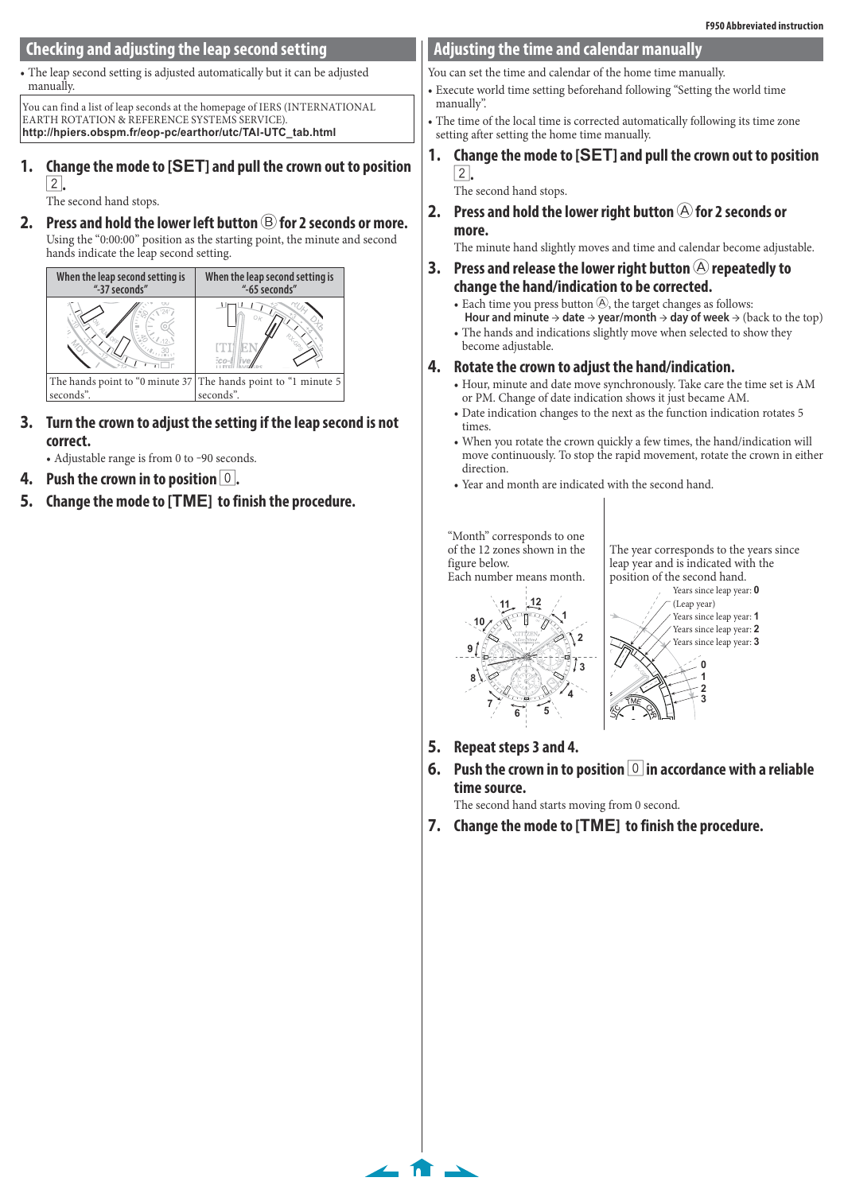### **Checking and adjusting the leap second setting**

• The leap second setting is adjusted automatically but it can be adjusted manually.

You can find a list of leap seconds at the homepage of IERS (INTERNATIONAL EARTH ROTATION & REFERENCE SYSTEMS SERVICE). **http://hpiers.obspm.fr/eop-pc/earthor/utc/TAI-UTC\_tab.html**

#### **1. Change the mode to [SET] and pull the crown out to position**  2**.**

The second hand stops.

**2.** Press and hold the lower left button  $\bigcirc$  for 2 seconds or more. Using the "0:00:00" position as the starting point, the minute and second hands indicate the leap second setting.



- **3. Turn the crown to adjust the setting if the leap second is not correct.**
	- Adjustable range is from 0 to -90 seconds.
- **4. Push the crown in to position** 0**.**
- **5. Change the mode to [TME] to finish the procedure.**

#### **Adjusting the time and calendar manually**

You can set the time and calendar of the home time manually.

- Execute world time setting beforehand following "Setting the world time manually".
- The time of the local time is corrected automatically following its time zone setting after setting the home time manually.
- **1. Change the mode to [SET] and pull the crown out to position**  2**.**

The second hand stops.

**2.** Press and hold the lower right button  $\widehat{A}$  for 2 seconds or **more.**

The minute hand slightly moves and time and calendar become adjustable.

- **3.** Press and release the lower right button  $\bigcirc$  repeatedly to **change the hand/indication to be corrected.**
	- Each time you press button  $\Theta$ , the target changes as follows: **Hour and minute** → **date** → **year/month** → **day of week** → (back to the top)
	- The hands and indications slightly move when selected to show they become adjustable.
- **4. Rotate the crown to adjust the hand/indication.**
	- Hour, minute and date move synchronously. Take care the time set is AM or PM. Change of date indication shows it just became AM.
	- Date indication changes to the next as the function indication rotates 5 times.
	- When you rotate the crown quickly a few times, the hand/indication will move continuously. To stop the rapid movement, rotate the crown in either direction.
	- Year and month are indicated with the second hand.

"Month" corresponds to one of the 12 zones shown in the figure below. Each number means month.



The year corresponds to the years since leap year and is indicated with the position of the second hand.



**3**



**5. Repeat steps 3 and 4.**

 $\leftarrow$  n  $\rightarrow$ 

7 **6. Push the crown in to position** 0 **in accordance with a reliable time source.**

The second hand starts moving from 0 second.

**7. Change the mode to [TME] to finish the procedure.**